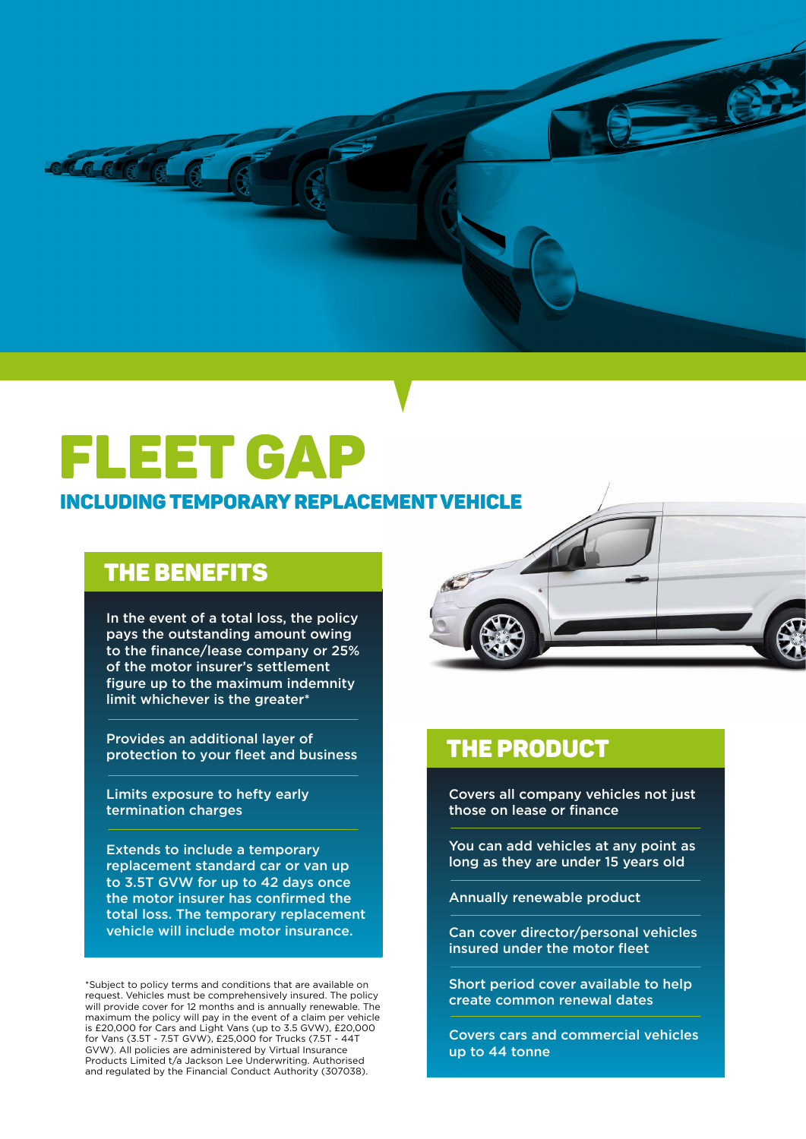

# **FLEET GAP**

### INCLUDINGTEMPORARY REPLACEMENTVEHICLE

## THE BENEFITS

In the event of a total loss, the policy pays the outstanding amount owing to the finance/lease company or 25% of the motor insurer's settlement figure up to the maximum indemnity limit whichever is the greater\*

Provides an additional layer of protection to your fleet and business

Limits exposure to hefty early termination charges

Extends to include a temporary replacement standard car or van up to 3.5T GVW for up to 42 days once the motor insurer has confirmed the total loss. The temporary replacement vehicle will include motor insurance.

\*Subject to policy terms and conditions that are available on request. Vehicles must be comprehensively insured. The policy will provide cover for 12 months and is annually renewable. The maximum the policy will pay in the event of a claim per vehicle is £20,000 for Cars and Light Vans (up to 3.5 GVW), £20,000 for Vans (3.5T - 7.5T GVW), £25,000 for Trucks (7.5T - 44T GVW). All policies are administered by Virtual Insurance Products Limited t/a Jackson Lee Underwriting. Authorised and regulated by the Financial Conduct Authority (307038).



## THE PRODUCT

Covers all company vehicles not just those on lease or finance

You can add vehicles at any point as long as they are under 15 years old

Annually renewable product

Can cover director/personal vehicles insured under the motor fleet

Short period cover available to help create common renewal dates

Covers cars and commercial vehicles up to 44 tonne